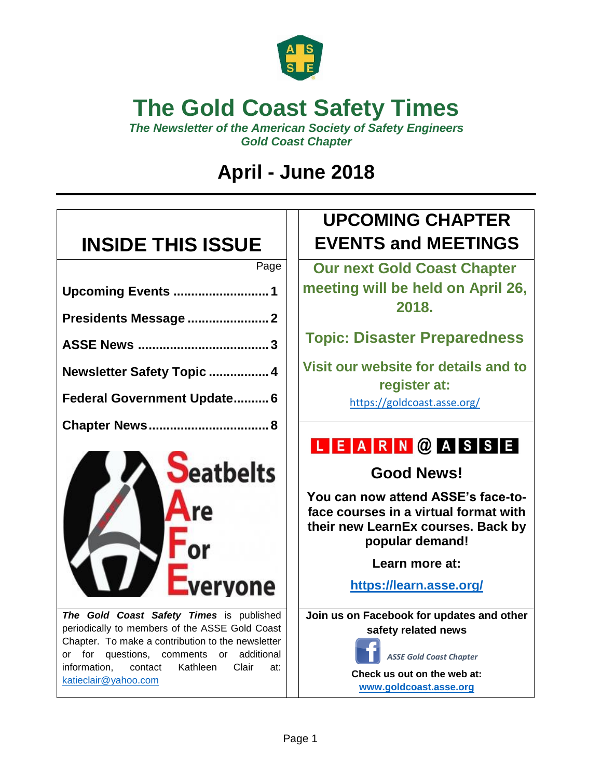

## **The Gold Coast Safety Times**

*The Newsletter of the American Society of Safety Engineers Gold Coast Chapter*

## **April - June 2018**

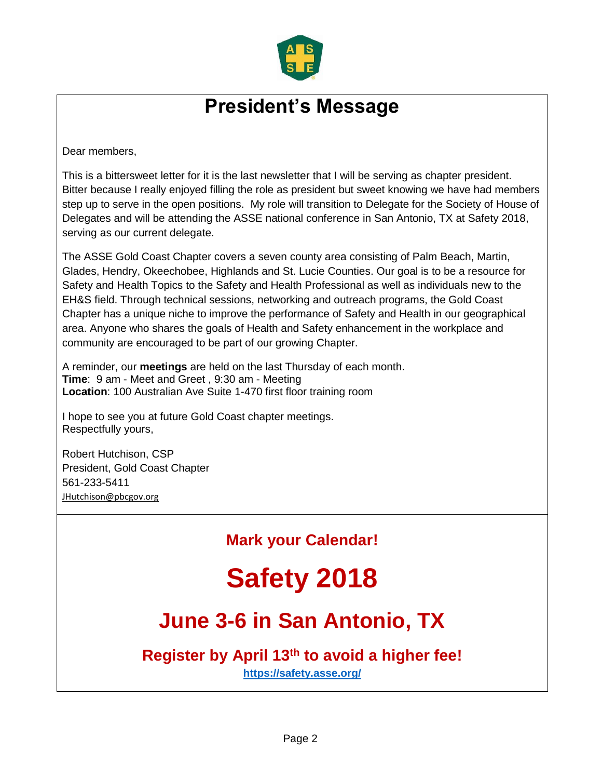

### **President's Message**

Dear members,

This is a bittersweet letter for it is the last newsletter that I will be serving as chapter president. Bitter because I really enjoyed filling the role as president but sweet knowing we have had members step up to serve in the open positions. My role will transition to Delegate for the Society of House of Delegates and will be attending the ASSE national conference in San Antonio, TX at Safety 2018, serving as our current delegate.

The ASSE Gold Coast Chapter covers a seven county area consisting of Palm Beach, Martin, Glades, Hendry, Okeechobee, Highlands and St. Lucie Counties. Our goal is to be a resource for Safety and Health Topics to the Safety and Health Professional as well as individuals new to the EH&S field. Through technical sessions, networking and outreach programs, the Gold Coast Chapter has a unique niche to improve the performance of Safety and Health in our geographical area. Anyone who shares the goals of Health and Safety enhancement in the workplace and community are encouraged to be part of our growing Chapter.

A reminder, our **meetings** are held on the last Thursday of each month. **Time**: 9 am - Meet and Greet , 9:30 am - Meeting **Location**: 100 Australian Ave Suite 1-470 first floor training room

I hope to see you at future Gold Coast chapter meetings. Respectfully yours,

Robert Hutchison, CSP President, Gold Coast Chapter 561-233-5411 [JHutchison@pbcgov.org](mailto:JHutchison@pbcgov.org)

**Mark your Calendar!**

# **Safety 2018**

## **June 3-6 in San Antonio, TX**

### **Register by April 13th to avoid a higher fee!**

**<https://safety.asse.org/>**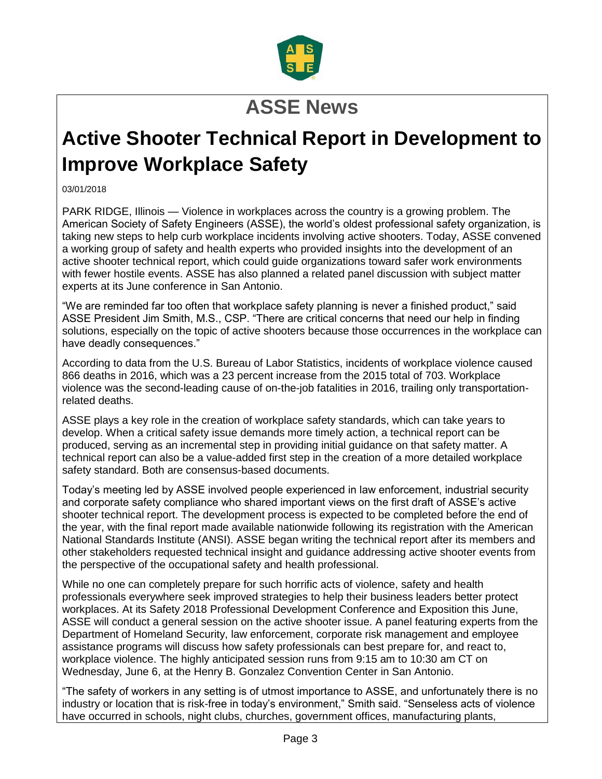

## **ASSE News**

## **Active Shooter Technical Report in Development to Improve Workplace Safety**

03/01/2018

PARK RIDGE, Illinois — Violence in workplaces across the country is a growing problem. The American Society of Safety Engineers (ASSE), the world's oldest professional safety organization, is taking new steps to help curb workplace incidents involving active shooters. Today, ASSE convened a working group of safety and health experts who provided insights into the development of an active shooter technical report, which could guide organizations toward safer work environments with fewer hostile events. ASSE has also planned a related panel discussion with subject matter experts at its June conference in San Antonio.

"We are reminded far too often that workplace safety planning is never a finished product," said ASSE President Jim Smith, M.S., CSP. "There are critical concerns that need our help in finding solutions, especially on the topic of active shooters because those occurrences in the workplace can have deadly consequences."

According to data from the U.S. Bureau of Labor Statistics, incidents of workplace violence caused 866 deaths in 2016, which was a 23 percent increase from the 2015 total of 703. Workplace violence was the second-leading cause of on-the-job fatalities in 2016, trailing only transportationrelated deaths.

ASSE plays a key role in the creation of workplace safety standards, which can take years to develop. When a critical safety issue demands more timely action, a technical report can be produced, serving as an incremental step in providing initial guidance on that safety matter. A technical report can also be a value-added first step in the creation of a more detailed workplace safety standard. Both are consensus-based documents.

Today's meeting led by ASSE involved people experienced in law enforcement, industrial security and corporate safety compliance who shared important views on the first draft of ASSE's active shooter technical report. The development process is expected to be completed before the end of the year, with the final report made available nationwide following its registration with the American National Standards Institute (ANSI). ASSE began writing the technical report after its members and other stakeholders requested technical insight and guidance addressing active shooter events from the perspective of the occupational safety and health professional.

While no one can completely prepare for such horrific acts of violence, safety and health professionals everywhere seek improved strategies to help their business leaders better protect workplaces. At its Safety 2018 Professional Development Conference and Exposition this June, ASSE will conduct a general session on the active shooter issue. A panel featuring experts from the Department of Homeland Security, law enforcement, corporate risk management and employee assistance programs will discuss how safety professionals can best prepare for, and react to, workplace violence. The highly anticipated session runs from 9:15 am to 10:30 am CT on Wednesday, June 6, at the Henry B. Gonzalez Convention Center in San Antonio.

"The safety of workers in any setting is of utmost importance to ASSE, and unfortunately there is no industry or location that is risk-free in today's environment," Smith said. "Senseless acts of violence have occurred in schools, night clubs, churches, government offices, manufacturing plants,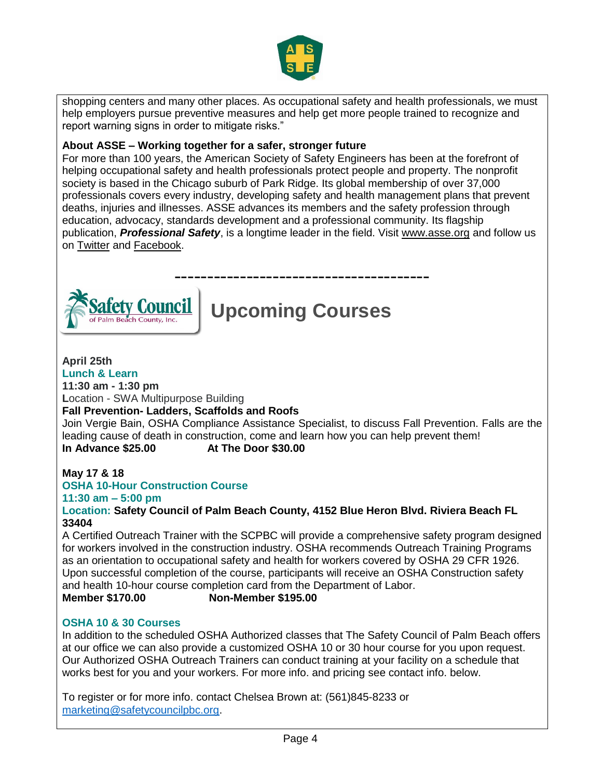

shopping centers and many other places. As occupational safety and health professionals, we must help employers pursue preventive measures and help get more people trained to recognize and report warning signs in order to mitigate risks."

#### **About ASSE – Working together for a safer, stronger future**

For more than 100 years, the American Society of Safety Engineers has been at the forefront of helping occupational safety and health professionals protect people and property. The nonprofit society is based in the Chicago suburb of Park Ridge. Its global membership of over 37,000 professionals covers every industry, developing safety and health management plans that prevent deaths, injuries and illnesses. ASSE advances its members and the safety profession through education, advocacy, standards development and a professional community. Its flagship publication, *Professional Safety*, is a longtime leader in the field. Visit [www.asse.org](http://www.asse.org/) and follow us on [Twitter](https://twitter.com/ASSE_Safety) and [Facebook.](https://www.facebook.com/ASSESafety)



## **Upcoming Courses**

#### **April 25th Lunch & Learn**

**11:30 am - 1:30 pm**

**L**ocation - SWA Multipurpose Building

#### **Fall Prevention- Ladders, Scaffolds and Roofs**

Join Vergie Bain, OSHA Compliance Assistance Specialist, to discuss Fall Prevention. Falls are the leading cause of death in construction, come and learn how you can help prevent them! **In Advance \$25.00 At The Door \$30.00**

### **May 17 & 18 OSHA 10-Hour Construction Course**

### **11:30 am – 5:00 pm**

**Location: Safety Council of Palm Beach County, 4152 Blue Heron Blvd. Riviera Beach FL 33404**

A Certified Outreach Trainer with the SCPBC will provide a comprehensive safety program designed for workers involved in the construction industry. OSHA recommends Outreach Training Programs as an orientation to occupational safety and health for workers covered by OSHA 29 CFR 1926. Upon successful completion of the course, participants will receive an OSHA Construction safety and health 10-hour course completion card from the Department of Labor. **Member \$170.00 Non-Member \$195.00**

#### **OSHA 10 & 30 Courses**

In addition to the scheduled OSHA Authorized classes that The Safety Council of Palm Beach offers at our office we can also provide a customized OSHA 10 or 30 hour course for you upon request. Our Authorized OSHA Outreach Trainers can conduct training at your facility on a schedule that works best for you and your workers. For more info. and pricing see contact info. below.

To register or for more info. contact Chelsea Brown at: (561)845-8233 or [marketing@safetycouncilpbc.org.](mailto:marketing@safetycouncilpbc.org)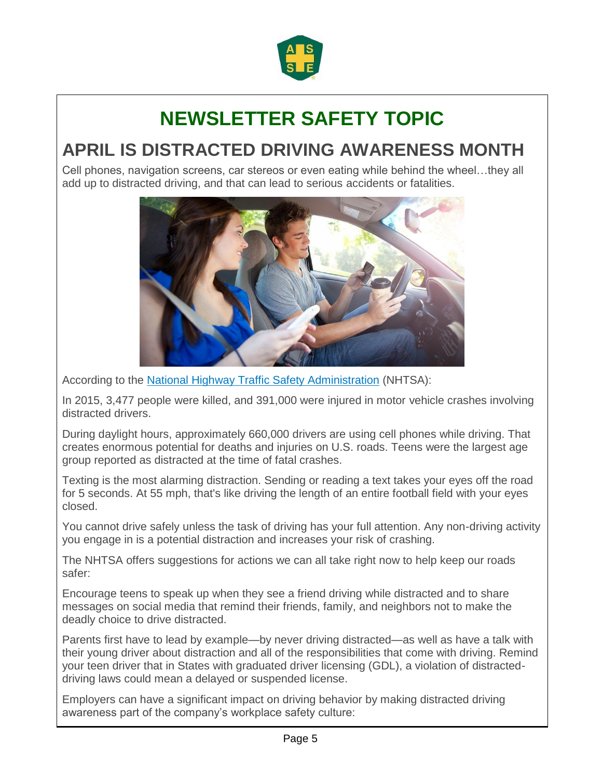

## **NEWSLETTER SAFETY TOPIC**

### **APRIL IS DISTRACTED DRIVING AWARENESS MONTH**

Cell phones, navigation screens, car stereos or even eating while behind the wheel…they all add up to distracted driving, and that can lead to serious accidents or fatalities.



According to the [National Highway Traffic Safety Administration](https://www.nhtsa.gov/risky-driving/distracted-driving) (NHTSA):

In 2015, 3,477 people were killed, and 391,000 were injured in motor vehicle crashes involving distracted drivers.

During daylight hours, approximately 660,000 drivers are using cell phones while driving. That creates enormous potential for deaths and injuries on U.S. roads. Teens were the largest age group reported as distracted at the time of fatal crashes.

Texting is the most alarming distraction. Sending or reading a text takes your eyes off the road for 5 seconds. At 55 mph, that's like driving the length of an entire football field with your eyes closed.

You cannot drive safely unless the task of driving has your full attention. Any non-driving activity you engage in is a potential distraction and increases your risk of crashing.

The NHTSA offers suggestions for actions we can all take right now to help keep our roads safer:

 Encourage teens to speak up when they see a friend driving while distracted and to share messages on social media that remind their friends, family, and neighbors not to make the deadly choice to drive distracted.

 Parents first have to lead by example—by never driving distracted—as well as have a talk with their young driver about distraction and all of the responsibilities that come with driving. Remind your teen driver that in States with graduated driver licensing (GDL), a violation of distracteddriving laws could mean a delayed or suspended license.

Employers can have a significant impact on driving behavior by making distracted driving awareness part of the company's workplace safety culture: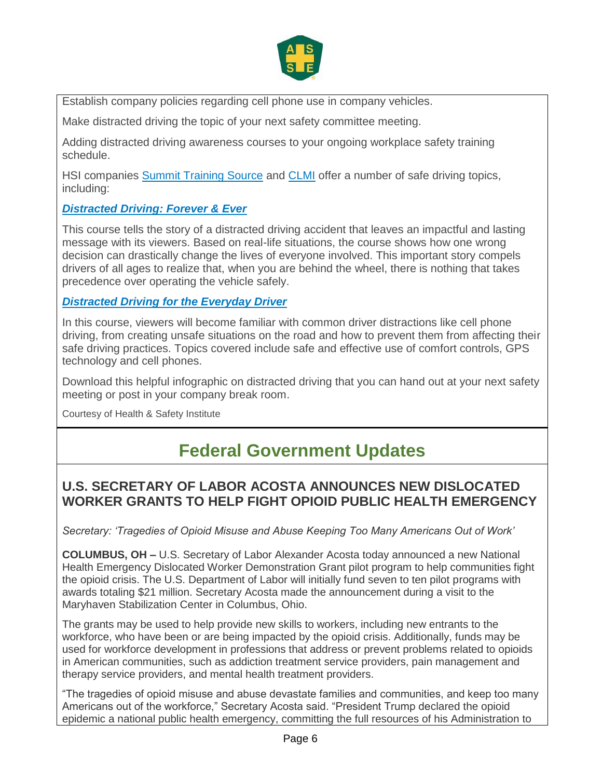

Establish company policies regarding cell phone use in company vehicles.

Make distracted driving the topic of your next safety committee meeting.

 Adding distracted driving awareness courses to your ongoing workplace safety training schedule.

HSI companies [Summit Training Source](https://summit.hsi.com/) and [CLMI](https://www.clmi-training.com/) offer a number of safe driving topics, including:

### *[Distracted Driving: Forever & Ever](https://store.osmanager4.com/summit/products/9095)*

This course tells the story of a distracted driving accident that leaves an impactful and lasting message with its viewers. Based on real-life situations, the course shows how one wrong decision can drastically change the lives of everyone involved. This important story compels drivers of all ages to realize that, when you are behind the wheel, there is nothing that takes precedence over operating the vehicle safely.

### *[Distracted Driving for the Everyday Driver](https://www.clmi-training.com/training-library/distracted-driving-of-the-everyday-driver)*

In this course, viewers will become familiar with common driver distractions like cell phone driving, from creating unsafe situations on the road and how to prevent them from affecting their safe driving practices. Topics covered include safe and effective use of comfort controls, GPS technology and cell phones.

Download this helpful infographic on distracted driving that you can hand out at your next safety meeting or post in your company break room.

Courtesy of Health & Safety Institute

### **Federal Government Updates**

### **U.S. SECRETARY OF LABOR ACOSTA ANNOUNCES NEW DISLOCATED WORKER GRANTS TO HELP FIGHT OPIOID PUBLIC HEALTH EMERGENCY**

*Secretary: 'Tragedies of Opioid Misuse and Abuse Keeping Too Many Americans Out of Work'*

**COLUMBUS, OH –** U.S. Secretary of Labor Alexander Acosta today announced a new National Health Emergency Dislocated Worker Demonstration Grant pilot program to help communities fight the opioid crisis. The U.S. Department of Labor will initially fund seven to ten pilot programs with awards totaling \$21 million. Secretary Acosta made the announcement during a visit to the Maryhaven Stabilization Center in Columbus, Ohio.

The grants may be used to help provide new skills to workers, including new entrants to the workforce, who have been or are being impacted by the opioid crisis. Additionally, funds may be used for workforce development in professions that address or prevent problems related to opioids in American communities, such as addiction treatment service providers, pain management and therapy service providers, and mental health treatment providers.

"The tragedies of opioid misuse and abuse devastate families and communities, and keep too many Americans out of the workforce," Secretary Acosta said. "President Trump declared the opioid epidemic a national public health emergency, committing the full resources of his Administration to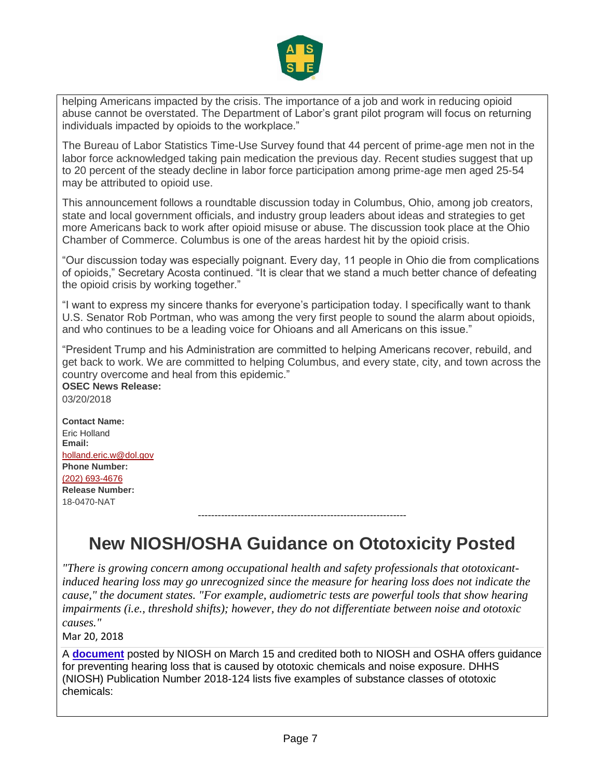

helping Americans impacted by the crisis. The importance of a job and work in reducing opioid abuse cannot be overstated. The Department of Labor's grant pilot program will focus on returning individuals impacted by opioids to the workplace."

The Bureau of Labor Statistics Time-Use Survey found that 44 percent of prime-age men not in the labor force acknowledged taking pain medication the previous day. Recent studies suggest that up to 20 percent of the steady decline in labor force participation among prime-age men aged 25-54 may be attributed to opioid use.

This announcement follows a roundtable discussion today in Columbus, Ohio, among job creators, state and local government officials, and industry group leaders about ideas and strategies to get more Americans back to work after opioid misuse or abuse. The discussion took place at the Ohio Chamber of Commerce. Columbus is one of the areas hardest hit by the opioid crisis.

"Our discussion today was especially poignant. Every day, 11 people in Ohio die from complications of opioids," Secretary Acosta continued. "It is clear that we stand a much better chance of defeating the opioid crisis by working together."

"I want to express my sincere thanks for everyone's participation today. I specifically want to thank U.S. Senator Rob Portman, who was among the very first people to sound the alarm about opioids, and who continues to be a leading voice for Ohioans and all Americans on this issue."

"President Trump and his Administration are committed to helping Americans recover, rebuild, and get back to work. We are committed to helping Columbus, and every state, city, and town across the country overcome and heal from this epidemic."

### **OSEC News Release:**

03/20/2018

**Contact Name:** Eric Holland **Email:** [holland.eric.w@dol.gov](mailto:holland.eric.w@dol.gov) **Phone Number:** (202) [693-4676](tel:%28202%29693-4676) **Release Number:** 18-0470-NAT

**New NIOSH/OSHA Guidance on Ototoxicity Posted**

---------------------------------------------------------------

*"There is growing concern among occupational health and safety professionals that ototoxicantinduced hearing loss may go unrecognized since the measure for hearing loss does not indicate the cause," the document states. "For example, audiometric tests are powerful tools that show hearing impairments (i.e., threshold shifts); however, they do not differentiate between noise and ototoxic causes."*

Mar 20, 2018

A **[document](https://www.cdc.gov/niosh/docs/2018-124/pdfs/2018-124.pdf)** posted by NIOSH on March 15 and credited both to NIOSH and OSHA offers guidance for preventing hearing loss that is caused by ototoxic chemicals and noise exposure. DHHS (NIOSH) Publication Number 2018-124 lists five examples of substance classes of ototoxic chemicals: